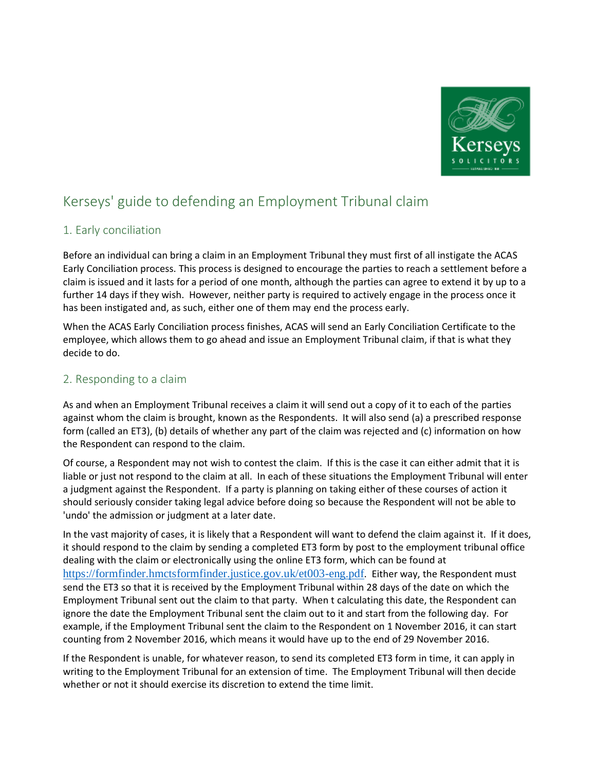

# Kerseys' guide to defending an Employment Tribunal claim

# 1. Early conciliation

Before an individual can bring a claim in an Employment Tribunal they must first of all instigate the ACAS Early Conciliation process. This process is designed to encourage the parties to reach a settlement before a claim is issued and it lasts for a period of one month, although the parties can agree to extend it by up to a further 14 days if they wish. However, neither party is required to actively engage in the process once it has been instigated and, as such, either one of them may end the process early.

When the ACAS Early Conciliation process finishes, ACAS will send an Early Conciliation Certificate to the employee, which allows them to go ahead and issue an Employment Tribunal claim, if that is what they decide to do.

# 2. Responding to a claim

As and when an Employment Tribunal receives a claim it will send out a copy of it to each of the parties against whom the claim is brought, known as the Respondents. It will also send (a) a prescribed response form (called an ET3), (b) details of whether any part of the claim was rejected and (c) information on how the Respondent can respond to the claim.

Of course, a Respondent may not wish to contest the claim. If this is the case it can either admit that it is liable or just not respond to the claim at all. In each of these situations the Employment Tribunal will enter a judgment against the Respondent. If a party is planning on taking either of these courses of action it should seriously consider taking legal advice before doing so because the Respondent will not be able to 'undo' the admission or judgment at a later date.

In the vast majority of cases, it is likely that a Respondent will want to defend the claim against it. If it does, it should respond to the claim by sending a completed ET3 form by post to the employment tribunal office dealing with the claim or electronically using the online ET3 form, which can be found at <https://formfinder.hmctsformfinder.justice.gov.uk/et003-eng.pdf>. Either way, the Respondent must send the ET3 so that it is received by the Employment Tribunal within 28 days of the date on which the Employment Tribunal sent out the claim to that party. When t calculating this date, the Respondent can ignore the date the Employment Tribunal sent the claim out to it and start from the following day. For example, if the Employment Tribunal sent the claim to the Respondent on 1 November 2016, it can start counting from 2 November 2016, which means it would have up to the end of 29 November 2016.

If the Respondent is unable, for whatever reason, to send its completed ET3 form in time, it can apply in writing to the Employment Tribunal for an extension of time. The Employment Tribunal will then decide whether or not it should exercise its discretion to extend the time limit.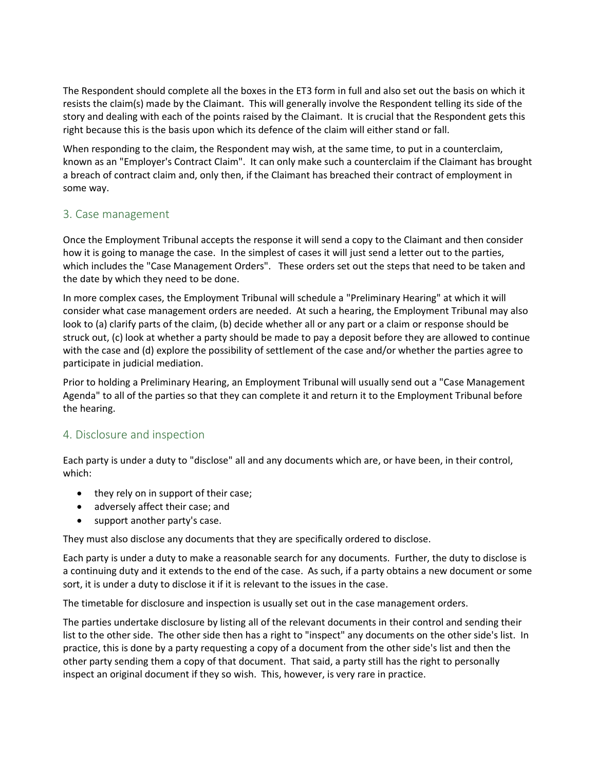The Respondent should complete all the boxes in the ET3 form in full and also set out the basis on which it resists the claim(s) made by the Claimant. This will generally involve the Respondent telling its side of the story and dealing with each of the points raised by the Claimant. It is crucial that the Respondent gets this right because this is the basis upon which its defence of the claim will either stand or fall.

When responding to the claim, the Respondent may wish, at the same time, to put in a counterclaim, known as an "Employer's Contract Claim". It can only make such a counterclaim if the Claimant has brought a breach of contract claim and, only then, if the Claimant has breached their contract of employment in some way.

# 3. Case management

Once the Employment Tribunal accepts the response it will send a copy to the Claimant and then consider how it is going to manage the case. In the simplest of cases it will just send a letter out to the parties, which includes the "Case Management Orders". These orders set out the steps that need to be taken and the date by which they need to be done.

In more complex cases, the Employment Tribunal will schedule a "Preliminary Hearing" at which it will consider what case management orders are needed. At such a hearing, the Employment Tribunal may also look to (a) clarify parts of the claim, (b) decide whether all or any part or a claim or response should be struck out, (c) look at whether a party should be made to pay a deposit before they are allowed to continue with the case and (d) explore the possibility of settlement of the case and/or whether the parties agree to participate in judicial mediation.

Prior to holding a Preliminary Hearing, an Employment Tribunal will usually send out a "Case Management Agenda" to all of the parties so that they can complete it and return it to the Employment Tribunal before the hearing.

### 4. Disclosure and inspection

Each party is under a duty to "disclose" all and any documents which are, or have been, in their control, which:

- they rely on in support of their case;
- adversely affect their case; and
- support another party's case.

They must also disclose any documents that they are specifically ordered to disclose.

Each party is under a duty to make a reasonable search for any documents. Further, the duty to disclose is a continuing duty and it extends to the end of the case. As such, if a party obtains a new document or some sort, it is under a duty to disclose it if it is relevant to the issues in the case.

The timetable for disclosure and inspection is usually set out in the case management orders.

The parties undertake disclosure by listing all of the relevant documents in their control and sending their list to the other side. The other side then has a right to "inspect" any documents on the other side's list. In practice, this is done by a party requesting a copy of a document from the other side's list and then the other party sending them a copy of that document. That said, a party still has the right to personally inspect an original document if they so wish. This, however, is very rare in practice.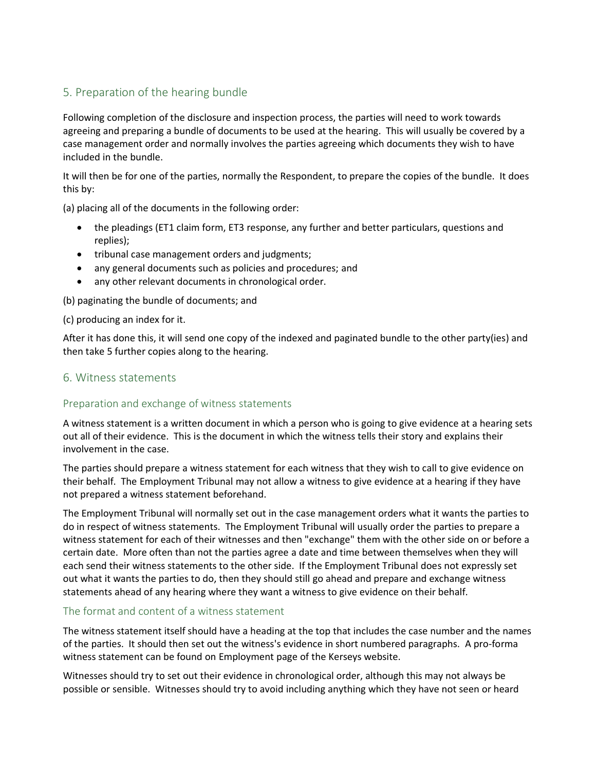# 5. Preparation of the hearing bundle

Following completion of the disclosure and inspection process, the parties will need to work towards agreeing and preparing a bundle of documents to be used at the hearing. This will usually be covered by a case management order and normally involves the parties agreeing which documents they wish to have included in the bundle.

It will then be for one of the parties, normally the Respondent, to prepare the copies of the bundle. It does this by:

(a) placing all of the documents in the following order:

- the pleadings (ET1 claim form, ET3 response, any further and better particulars, questions and replies);
- tribunal case management orders and judgments;
- any general documents such as policies and procedures; and
- any other relevant documents in chronological order.

(b) paginating the bundle of documents; and

#### (c) producing an index for it.

After it has done this, it will send one copy of the indexed and paginated bundle to the other party(ies) and then take 5 further copies along to the hearing.

# 6. Witness statements

### Preparation and exchange of witness statements

A witness statement is a written document in which a person who is going to give evidence at a hearing sets out all of their evidence. This is the document in which the witness tells their story and explains their involvement in the case.

The parties should prepare a witness statement for each witness that they wish to call to give evidence on their behalf. The Employment Tribunal may not allow a witness to give evidence at a hearing if they have not prepared a witness statement beforehand.

The Employment Tribunal will normally set out in the case management orders what it wants the parties to do in respect of witness statements. The Employment Tribunal will usually order the parties to prepare a witness statement for each of their witnesses and then "exchange" them with the other side on or before a certain date. More often than not the parties agree a date and time between themselves when they will each send their witness statements to the other side. If the Employment Tribunal does not expressly set out what it wants the parties to do, then they should still go ahead and prepare and exchange witness statements ahead of any hearing where they want a witness to give evidence on their behalf.

#### The format and content of a witness statement

The witness statement itself should have a heading at the top that includes the case number and the names of the parties. It should then set out the witness's evidence in short numbered paragraphs. A pro-forma witness statement can be found on Employment page of the Kerseys website.

Witnesses should try to set out their evidence in chronological order, although this may not always be possible or sensible. Witnesses should try to avoid including anything which they have not seen or heard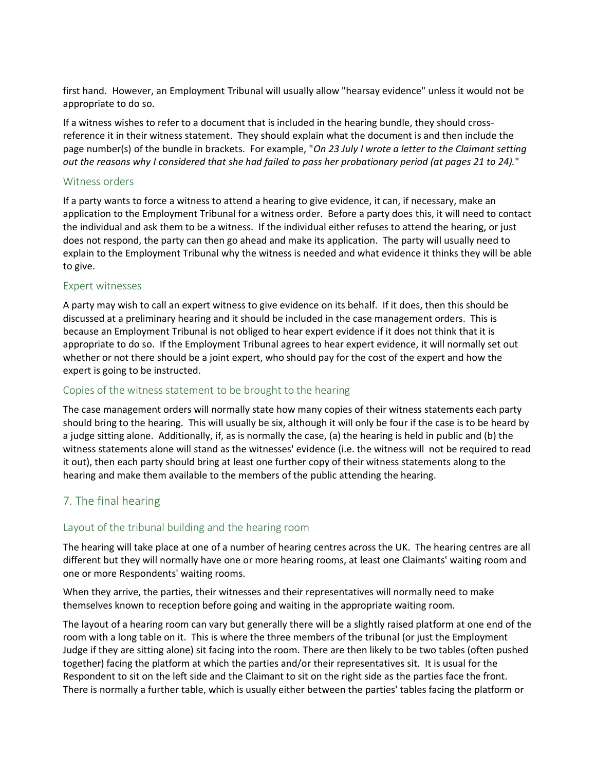first hand. However, an Employment Tribunal will usually allow "hearsay evidence" unless it would not be appropriate to do so.

If a witness wishes to refer to a document that is included in the hearing bundle, they should crossreference it in their witness statement. They should explain what the document is and then include the page number(s) of the bundle in brackets. For example, "*On 23 July I wrote a letter to the Claimant setting out the reasons why I considered that she had failed to pass her probationary period (at pages 21 to 24).*"

#### Witness orders

If a party wants to force a witness to attend a hearing to give evidence, it can, if necessary, make an application to the Employment Tribunal for a witness order. Before a party does this, it will need to contact the individual and ask them to be a witness. If the individual either refuses to attend the hearing, or just does not respond, the party can then go ahead and make its application. The party will usually need to explain to the Employment Tribunal why the witness is needed and what evidence it thinks they will be able to give.

#### Expert witnesses

A party may wish to call an expert witness to give evidence on its behalf. If it does, then this should be discussed at a preliminary hearing and it should be included in the case management orders. This is because an Employment Tribunal is not obliged to hear expert evidence if it does not think that it is appropriate to do so. If the Employment Tribunal agrees to hear expert evidence, it will normally set out whether or not there should be a joint expert, who should pay for the cost of the expert and how the expert is going to be instructed.

### Copies of the witness statement to be brought to the hearing

The case management orders will normally state how many copies of their witness statements each party should bring to the hearing. This will usually be six, although it will only be four if the case is to be heard by a judge sitting alone. Additionally, if, as is normally the case, (a) the hearing is held in public and (b) the witness statements alone will stand as the witnesses' evidence (i.e. the witness will not be required to read it out), then each party should bring at least one further copy of their witness statements along to the hearing and make them available to the members of the public attending the hearing.

# 7. The final hearing

### Layout of the tribunal building and the hearing room

The hearing will take place at one of a number of hearing centres across the UK. The hearing centres are all different but they will normally have one or more hearing rooms, at least one Claimants' waiting room and one or more Respondents' waiting rooms.

When they arrive, the parties, their witnesses and their representatives will normally need to make themselves known to reception before going and waiting in the appropriate waiting room.

The layout of a hearing room can vary but generally there will be a slightly raised platform at one end of the room with a long table on it. This is where the three members of the tribunal (or just the Employment Judge if they are sitting alone) sit facing into the room. There are then likely to be two tables (often pushed together) facing the platform at which the parties and/or their representatives sit. It is usual for the Respondent to sit on the left side and the Claimant to sit on the right side as the parties face the front. There is normally a further table, which is usually either between the parties' tables facing the platform or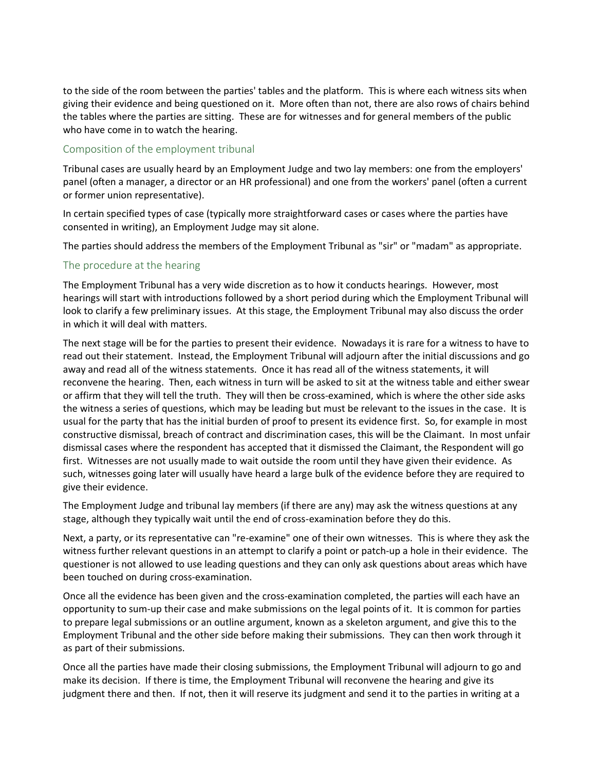to the side of the room between the parties' tables and the platform. This is where each witness sits when giving their evidence and being questioned on it. More often than not, there are also rows of chairs behind the tables where the parties are sitting. These are for witnesses and for general members of the public who have come in to watch the hearing.

#### Composition of the employment tribunal

Tribunal cases are usually heard by an Employment Judge and two lay members: one from the employers' panel (often a manager, a director or an HR professional) and one from the workers' panel (often a current or former union representative).

In certain specified types of case (typically more straightforward cases or cases where the parties have consented in writing), an Employment Judge may sit alone.

The parties should address the members of the Employment Tribunal as "sir" or "madam" as appropriate.

#### The procedure at the hearing

The Employment Tribunal has a very wide discretion as to how it conducts hearings. However, most hearings will start with introductions followed by a short period during which the Employment Tribunal will look to clarify a few preliminary issues. At this stage, the Employment Tribunal may also discuss the order in which it will deal with matters.

The next stage will be for the parties to present their evidence. Nowadays it is rare for a witness to have to read out their statement. Instead, the Employment Tribunal will adjourn after the initial discussions and go away and read all of the witness statements. Once it has read all of the witness statements, it will reconvene the hearing. Then, each witness in turn will be asked to sit at the witness table and either swear or affirm that they will tell the truth. They will then be cross-examined, which is where the other side asks the witness a series of questions, which may be leading but must be relevant to the issues in the case. It is usual for the party that has the initial burden of proof to present its evidence first. So, for example in most constructive dismissal, breach of contract and discrimination cases, this will be the Claimant. In most unfair dismissal cases where the respondent has accepted that it dismissed the Claimant, the Respondent will go first. Witnesses are not usually made to wait outside the room until they have given their evidence. As such, witnesses going later will usually have heard a large bulk of the evidence before they are required to give their evidence.

The Employment Judge and tribunal lay members (if there are any) may ask the witness questions at any stage, although they typically wait until the end of cross-examination before they do this.

Next, a party, or its representative can "re-examine" one of their own witnesses. This is where they ask the witness further relevant questions in an attempt to clarify a point or patch-up a hole in their evidence. The questioner is not allowed to use leading questions and they can only ask questions about areas which have been touched on during cross-examination.

Once all the evidence has been given and the cross-examination completed, the parties will each have an opportunity to sum-up their case and make submissions on the legal points of it. It is common for parties to prepare legal submissions or an outline argument, known as a skeleton argument, and give this to the Employment Tribunal and the other side before making their submissions. They can then work through it as part of their submissions.

Once all the parties have made their closing submissions, the Employment Tribunal will adjourn to go and make its decision. If there is time, the Employment Tribunal will reconvene the hearing and give its judgment there and then. If not, then it will reserve its judgment and send it to the parties in writing at a